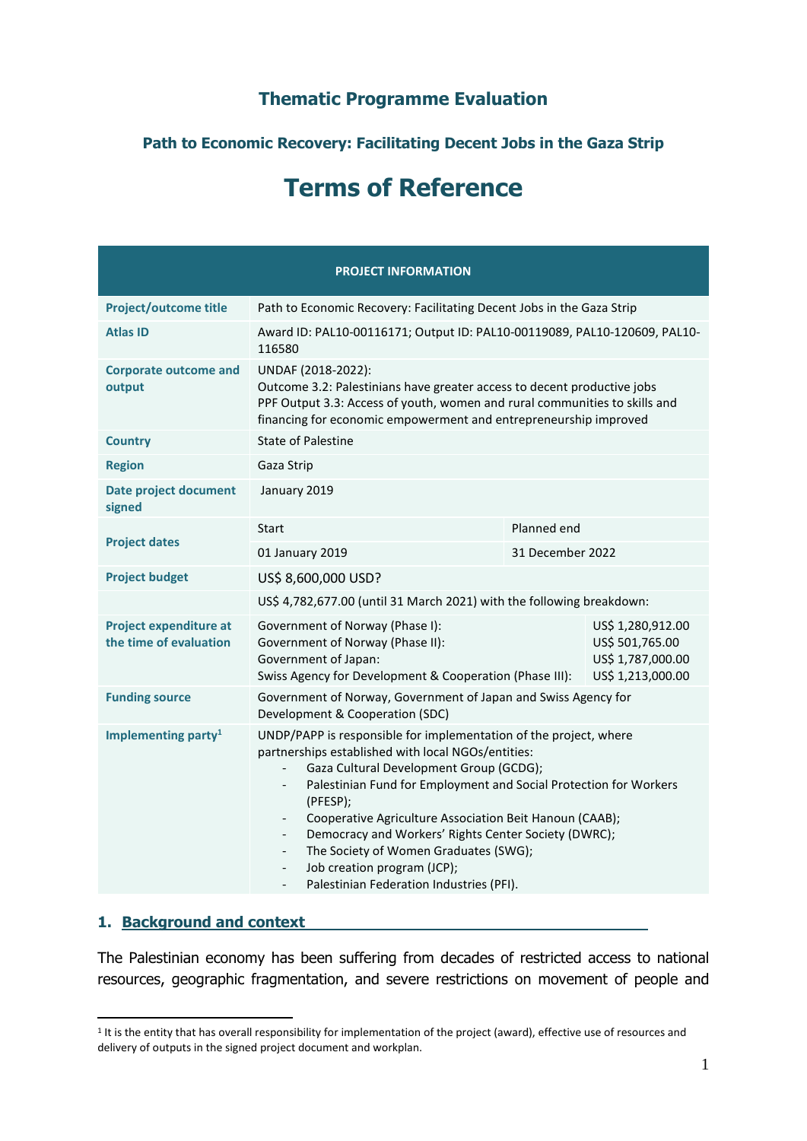# **Thematic Programme Evaluation**

# **Path to Economic Recovery: Facilitating Decent Jobs in the Gaza Strip**

# **Terms of Reference**

|                                                         | <b>PROJECT INFORMATION</b>                                                                                                                                                                                                                                                                                                                                                                                                                                                                                                                                                     |                                                                                |  |  |  |
|---------------------------------------------------------|--------------------------------------------------------------------------------------------------------------------------------------------------------------------------------------------------------------------------------------------------------------------------------------------------------------------------------------------------------------------------------------------------------------------------------------------------------------------------------------------------------------------------------------------------------------------------------|--------------------------------------------------------------------------------|--|--|--|
| Project/outcome title                                   | Path to Economic Recovery: Facilitating Decent Jobs in the Gaza Strip                                                                                                                                                                                                                                                                                                                                                                                                                                                                                                          |                                                                                |  |  |  |
| <b>Atlas ID</b>                                         | Award ID: PAL10-00116171; Output ID: PAL10-00119089, PAL10-120609, PAL10-<br>116580                                                                                                                                                                                                                                                                                                                                                                                                                                                                                            |                                                                                |  |  |  |
| <b>Corporate outcome and</b><br>output                  | UNDAF (2018-2022):<br>Outcome 3.2: Palestinians have greater access to decent productive jobs<br>PPF Output 3.3: Access of youth, women and rural communities to skills and<br>financing for economic empowerment and entrepreneurship improved                                                                                                                                                                                                                                                                                                                                |                                                                                |  |  |  |
| <b>Country</b>                                          | <b>State of Palestine</b>                                                                                                                                                                                                                                                                                                                                                                                                                                                                                                                                                      |                                                                                |  |  |  |
| <b>Region</b>                                           | Gaza Strip                                                                                                                                                                                                                                                                                                                                                                                                                                                                                                                                                                     |                                                                                |  |  |  |
| <b>Date project document</b><br>signed                  | January 2019                                                                                                                                                                                                                                                                                                                                                                                                                                                                                                                                                                   |                                                                                |  |  |  |
|                                                         | Planned end<br>Start                                                                                                                                                                                                                                                                                                                                                                                                                                                                                                                                                           |                                                                                |  |  |  |
| <b>Project dates</b>                                    | 01 January 2019<br>31 December 2022                                                                                                                                                                                                                                                                                                                                                                                                                                                                                                                                            |                                                                                |  |  |  |
| <b>Project budget</b>                                   | US\$ 8,600,000 USD?                                                                                                                                                                                                                                                                                                                                                                                                                                                                                                                                                            |                                                                                |  |  |  |
|                                                         | US\$ 4,782,677.00 (until 31 March 2021) with the following breakdown:                                                                                                                                                                                                                                                                                                                                                                                                                                                                                                          |                                                                                |  |  |  |
| <b>Project expenditure at</b><br>the time of evaluation | Government of Norway (Phase I):<br>Government of Norway (Phase II):<br>Government of Japan:<br>Swiss Agency for Development & Cooperation (Phase III):                                                                                                                                                                                                                                                                                                                                                                                                                         | US\$ 1,280,912.00<br>US\$ 501,765.00<br>US\$ 1,787,000.00<br>US\$ 1,213,000.00 |  |  |  |
| <b>Funding source</b>                                   | Government of Norway, Government of Japan and Swiss Agency for<br>Development & Cooperation (SDC)                                                                                                                                                                                                                                                                                                                                                                                                                                                                              |                                                                                |  |  |  |
| Implementing party <sup>1</sup>                         | UNDP/PAPP is responsible for implementation of the project, where<br>partnerships established with local NGOs/entities:<br>Gaza Cultural Development Group (GCDG);<br>$\overline{\phantom{0}}$<br>Palestinian Fund for Employment and Social Protection for Workers<br>(PFESP);<br>Cooperative Agriculture Association Beit Hanoun (CAAB);<br>$\overline{\phantom{0}}$<br>Democracy and Workers' Rights Center Society (DWRC);<br>$\overline{\phantom{0}}$<br>The Society of Women Graduates (SWG);<br>Job creation program (JCP);<br>Palestinian Federation Industries (PFI). |                                                                                |  |  |  |

#### **1. Background and context**

The Palestinian economy has been suffering from decades of restricted access to national resources, geographic fragmentation, and severe restrictions on movement of people and

<sup>&</sup>lt;sup>1</sup> It is the entity that has overall responsibility for implementation of the project (award), effective use of resources and delivery of outputs in the signed project document and workplan.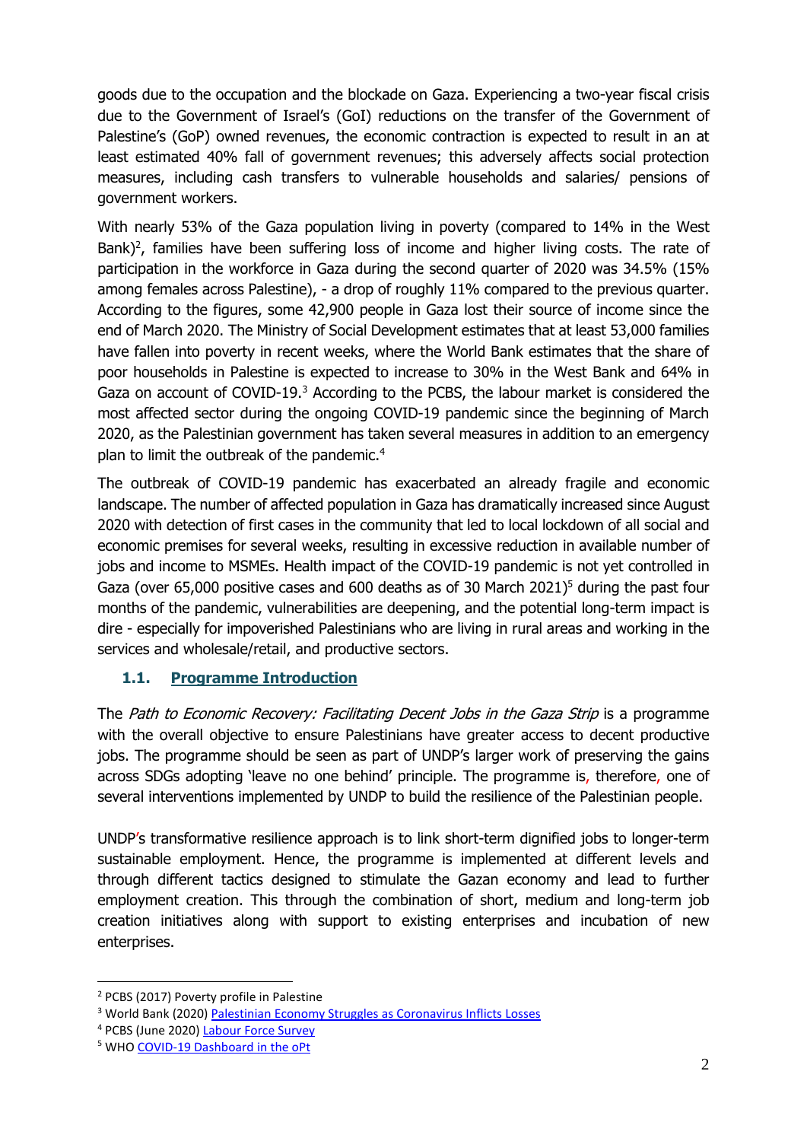goods due to the occupation and the blockade on Gaza. Experiencing a two-year fiscal crisis due to the Government of Israel's (GoI) reductions on the transfer of the Government of Palestine's (GoP) owned revenues, the economic contraction is expected to result in an at least estimated 40% fall of government revenues; this adversely affects social protection measures, including cash transfers to vulnerable households and salaries/ pensions of government workers.

With nearly 53% of the Gaza population living in poverty (compared to 14% in the West Bank)<sup>2</sup>, families have been suffering loss of income and higher living costs. The rate of participation in the workforce in Gaza during the second quarter of 2020 was 34.5% (15% among females across Palestine), - a drop of roughly 11% compared to the previous quarter. According to the figures, some 42,900 people in Gaza lost their source of income since the end of March 2020. The Ministry of Social Development estimates that at least 53,000 families have fallen into poverty in recent weeks, where the World Bank estimates that the share of poor households in Palestine is expected to increase to 30% in the West Bank and 64% in Gaza on account of COVID-19.<sup>3</sup> According to the PCBS, the labour market is considered the most affected sector during the ongoing COVID-19 pandemic since the beginning of March 2020, as the Palestinian government has taken several measures in addition to an emergency plan to limit the outbreak of the pandemic.<sup>4</sup>

The outbreak of COVID-19 pandemic has exacerbated an already fragile and economic landscape. The number of affected population in Gaza has dramatically increased since August 2020 with detection of first cases in the community that led to local lockdown of all social and economic premises for several weeks, resulting in excessive reduction in available number of jobs and income to MSMEs. Health impact of the COVID-19 pandemic is not yet controlled in Gaza (over 65,000 positive cases and 600 deaths as of 30 March 2021)<sup>5</sup> during the past four months of the pandemic, vulnerabilities are deepening, and the potential long-term impact is dire - especially for impoverished Palestinians who are living in rural areas and working in the services and wholesale/retail, and productive sectors.

### **1.1. Programme Introduction**

The Path to Economic Recovery: Facilitating Decent Jobs in the Gaza Strip is a programme with the overall objective to ensure Palestinians have greater access to decent productive jobs. The programme should be seen as part of UNDP's larger work of preserving the gains across SDGs adopting 'leave no one behind' principle. The programme is, therefore, one of several interventions implemented by UNDP to build the resilience of the Palestinian people.

UNDP's transformative resilience approach is to link short-term dignified jobs to longer-term sustainable employment. Hence, the programme is implemented at different levels and through different tactics designed to stimulate the Gazan economy and lead to further employment creation. This through the combination of short, medium and long-term job creation initiatives along with support to existing enterprises and incubation of new enterprises.

<sup>2</sup> PCBS (2017) Poverty profile in Palestine

<sup>&</sup>lt;sup>3</sup> World Bank (2020) [Palestinian Economy Struggles as Coronavirus Inflicts Losses](https://www.worldbank.org/en/news/press-release/2020/06/01/palestinian-economy-struggles-as-coronavirus-inflicts-losses)

<sup>4</sup> PCBS (June 2020) [Labour Force Survey](http://www.pcbs.gov.ps/site/512/default.aspx?lang=en&ItemID=3809)

<sup>5</sup> WH[O COVID-19 Dashboard](https://app.powerbi.com/view?r=eyJrIjoiODJlYWM1YTEtNDAxZS00OTFlLThkZjktNDA1ODY2OGQ3NGJkIiwidCI6ImY2MTBjMGI3LWJkMjQtNGIzOS04MTBiLTNkYzI4MGFmYjU5MCIsImMiOjh9) in the oPt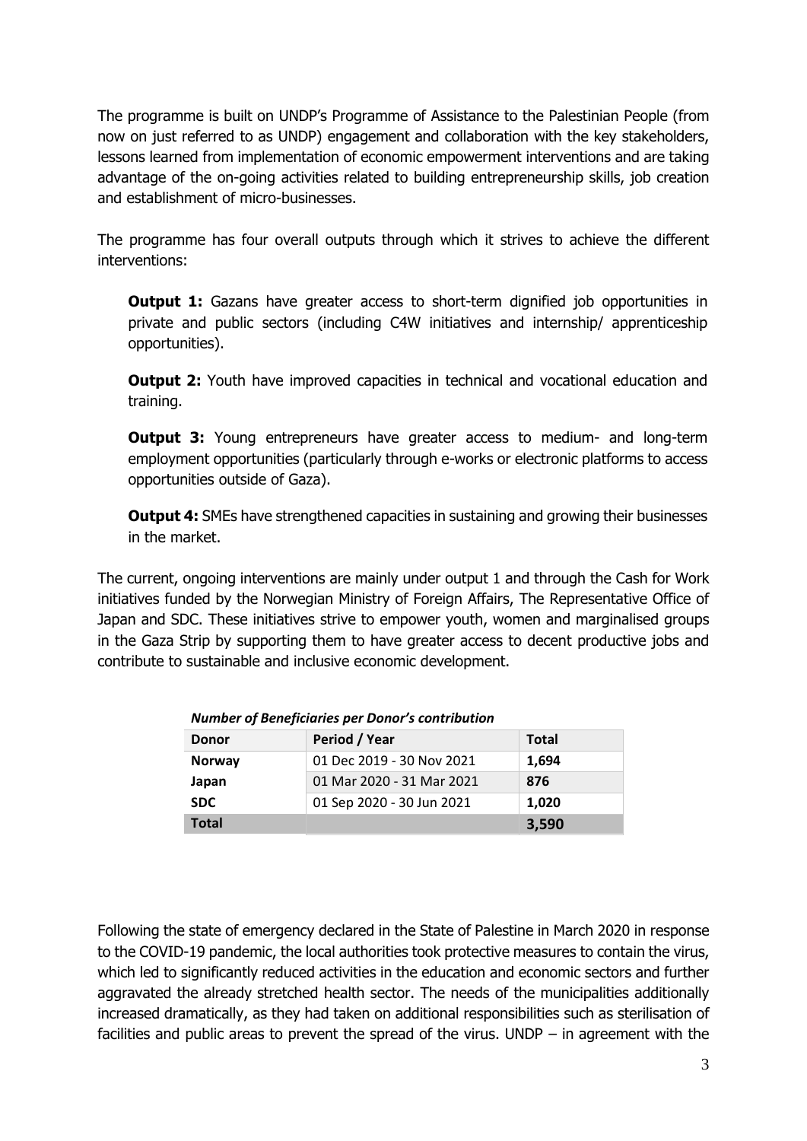The programme is built on UNDP's Programme of Assistance to the Palestinian People (from now on just referred to as UNDP) engagement and collaboration with the key stakeholders, lessons learned from implementation of economic empowerment interventions and are taking advantage of the on-going activities related to building entrepreneurship skills, job creation and establishment of micro-businesses.

The programme has four overall outputs through which it strives to achieve the different interventions:

**Output 1:** Gazans have greater access to short-term dignified job opportunities in private and public sectors (including C4W initiatives and internship/ apprenticeship opportunities).

**Output 2:** Youth have improved capacities in technical and vocational education and training.

**Output 3:** Young entrepreneurs have greater access to medium- and long-term employment opportunities (particularly through e-works or electronic platforms to access opportunities outside of Gaza).

**Output 4:** SMEs have strengthened capacities in sustaining and growing their businesses in the market.

The current, ongoing interventions are mainly under output 1 and through the Cash for Work initiatives funded by the Norwegian Ministry of Foreign Affairs, The Representative Office of Japan and SDC. These initiatives strive to empower youth, women and marginalised groups in the Gaza Strip by supporting them to have greater access to decent productive jobs and contribute to sustainable and inclusive economic development.

| <b>Donor</b>  | Period / Year             | <b>Total</b> |
|---------------|---------------------------|--------------|
| <b>Norway</b> | 01 Dec 2019 - 30 Nov 2021 | 1,694        |
| Japan         | 01 Mar 2020 - 31 Mar 2021 | 876          |
| <b>SDC</b>    | 01 Sep 2020 - 30 Jun 2021 | 1,020        |
| <b>Total</b>  |                           | 3,590        |

*Number of Beneficiaries per Donor's contribution*

Following the state of emergency declared in the State of Palestine in March 2020 in response to the COVID-19 pandemic, the local authorities took protective measures to contain the virus, which led to significantly reduced activities in the education and economic sectors and further aggravated the already stretched health sector. The needs of the municipalities additionally increased dramatically, as they had taken on additional responsibilities such as sterilisation of facilities and public areas to prevent the spread of the virus. UNDP – in agreement with the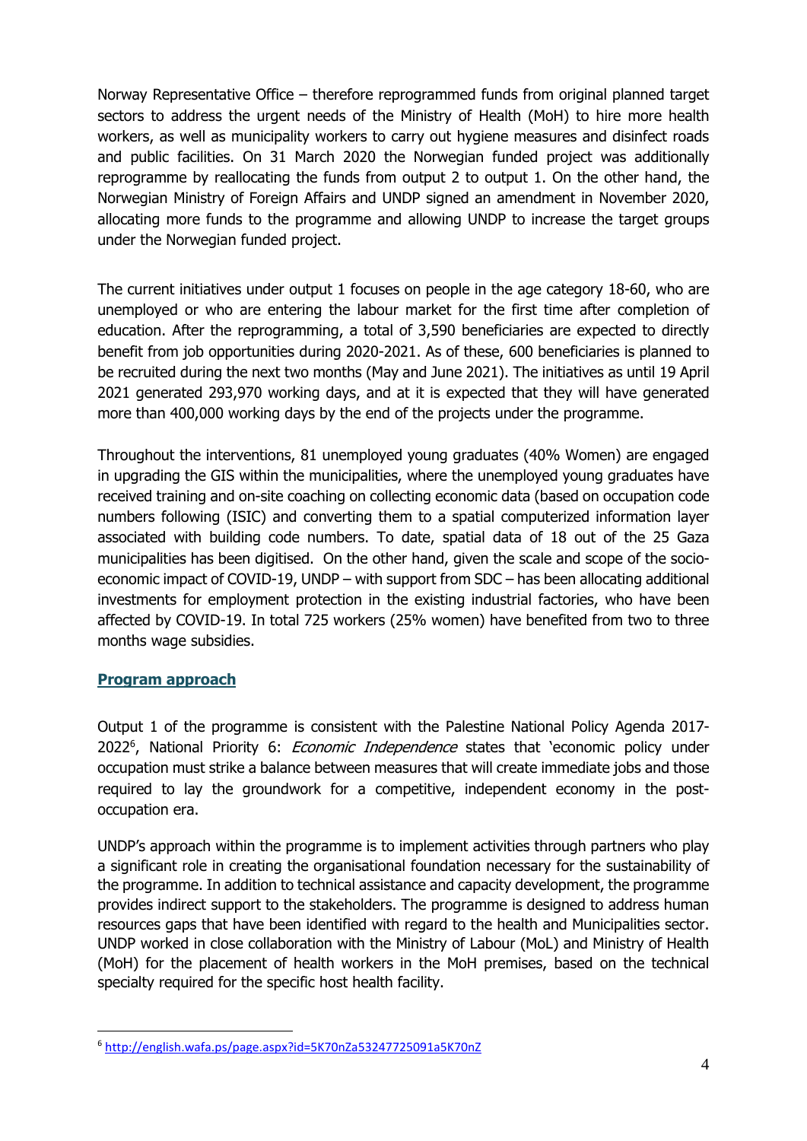Norway Representative Office – therefore reprogrammed funds from original planned target sectors to address the urgent needs of the Ministry of Health (MoH) to hire more health workers, as well as municipality workers to carry out hygiene measures and disinfect roads and public facilities. On 31 March 2020 the Norwegian funded project was additionally reprogramme by reallocating the funds from output 2 to output 1. On the other hand, the Norwegian Ministry of Foreign Affairs and UNDP signed an amendment in November 2020, allocating more funds to the programme and allowing UNDP to increase the target groups under the Norwegian funded project.

The current initiatives under output 1 focuses on people in the age category 18-60, who are unemployed or who are entering the labour market for the first time after completion of education. After the reprogramming, a total of 3,590 beneficiaries are expected to directly benefit from job opportunities during 2020-2021. As of these, 600 beneficiaries is planned to be recruited during the next two months (May and June 2021). The initiatives as until 19 April 2021 generated 293,970 working days, and at it is expected that they will have generated more than 400,000 working days by the end of the projects under the programme.

Throughout the interventions, 81 unemployed young graduates (40% Women) are engaged in upgrading the GIS within the municipalities, where the unemployed young graduates have received training and on-site coaching on collecting economic data (based on occupation code numbers following (ISIC) and converting them to a spatial computerized information layer associated with building code numbers. To date, spatial data of 18 out of the 25 Gaza municipalities has been digitised. On the other hand, given the scale and scope of the socioeconomic impact of COVID-19, UNDP – with support from SDC – has been allocating additional investments for employment protection in the existing industrial factories, who have been affected by COVID-19. In total 725 workers (25% women) have benefited from two to three months wage subsidies.

#### **Program approach**

Output 1 of the programme is consistent with the Palestine National Policy Agenda 2017- 2022<sup>6</sup>, National Priority 6: *Economic Independence* states that 'economic policy under occupation must strike a balance between measures that will create immediate jobs and those required to lay the groundwork for a competitive, independent economy in the postoccupation era.

UNDP's approach within the programme is to implement activities through partners who play a significant role in creating the organisational foundation necessary for the sustainability of the programme. In addition to technical assistance and capacity development, the programme provides indirect support to the stakeholders. The programme is designed to address human resources gaps that have been identified with regard to the health and Municipalities sector. UNDP worked in close collaboration with the Ministry of Labour (MoL) and Ministry of Health (MoH) for the placement of health workers in the MoH premises, based on the technical specialty required for the specific host health facility.

<sup>6</sup> <http://english.wafa.ps/page.aspx?id=5K70nZa53247725091a5K70nZ>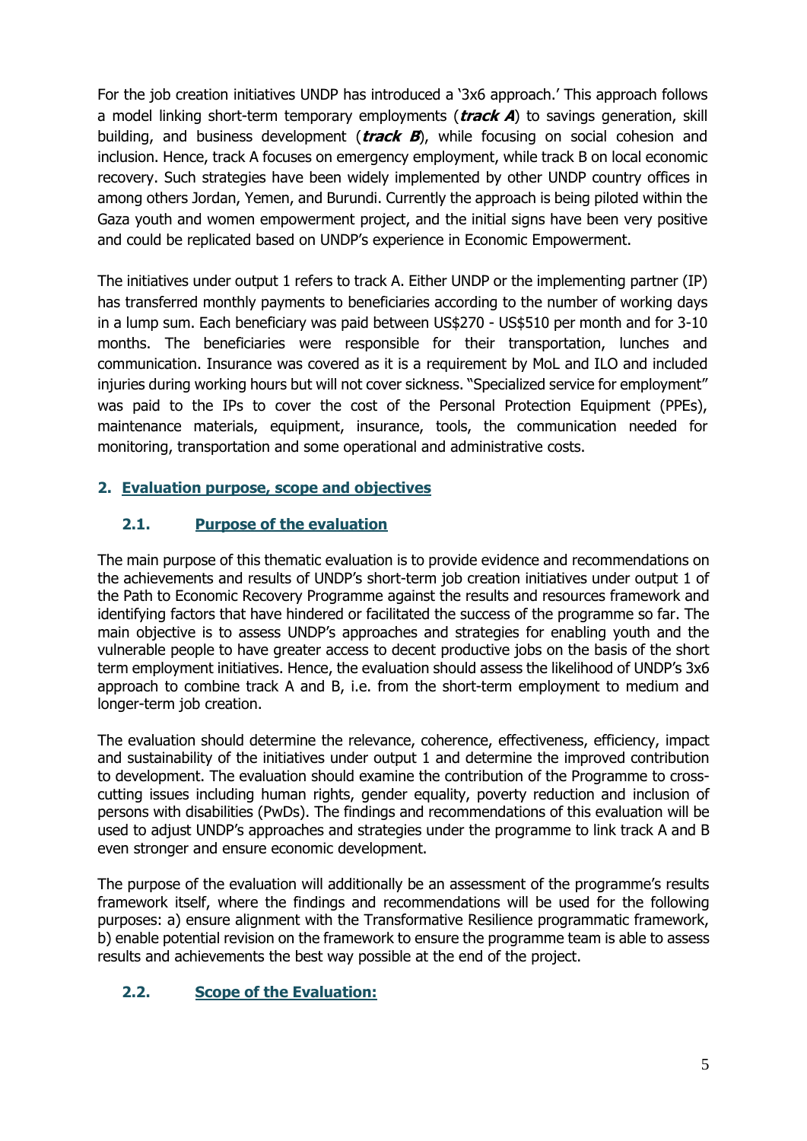For the job creation initiatives UNDP has introduced a '3x6 approach.' This approach follows a model linking short-term temporary employments (**track A**) to savings generation, skill building, and business development (**track B**), while focusing on social cohesion and inclusion. Hence, track A focuses on emergency employment, while track B on local economic recovery. Such strategies have been widely implemented by other UNDP country offices in among others Jordan, Yemen, and Burundi. Currently the approach is being piloted within the Gaza youth and women empowerment project, and the initial signs have been very positive and could be replicated based on UNDP's experience in Economic Empowerment.

The initiatives under output 1 refers to track A. Either UNDP or the implementing partner (IP) has transferred monthly payments to beneficiaries according to the number of working days in a lump sum. Each beneficiary was paid between US\$270 - US\$510 per month and for 3-10 months. The beneficiaries were responsible for their transportation, lunches and communication. Insurance was covered as it is a requirement by MoL and ILO and included injuries during working hours but will not cover sickness. "Specialized service for employment" was paid to the IPs to cover the cost of the Personal Protection Equipment (PPEs), maintenance materials, equipment, insurance, tools, the communication needed for monitoring, transportation and some operational and administrative costs.

### **2. Evaluation purpose, scope and objectives**

### **2.1. Purpose of the evaluation**

The main purpose of this thematic evaluation is to provide evidence and recommendations on the achievements and results of UNDP's short-term job creation initiatives under output 1 of the Path to Economic Recovery Programme against the results and resources framework and identifying factors that have hindered or facilitated the success of the programme so far. The main objective is to assess UNDP's approaches and strategies for enabling youth and the vulnerable people to have greater access to decent productive jobs on the basis of the short term employment initiatives. Hence, the evaluation should assess the likelihood of UNDP's 3x6 approach to combine track A and B, i.e. from the short-term employment to medium and longer-term job creation.

The evaluation should determine the relevance, coherence, effectiveness, efficiency, impact and sustainability of the initiatives under output 1 and determine the improved contribution to development. The evaluation should examine the contribution of the Programme to crosscutting issues including human rights, gender equality, poverty reduction and inclusion of persons with disabilities (PwDs). The findings and recommendations of this evaluation will be used to adjust UNDP's approaches and strategies under the programme to link track A and B even stronger and ensure economic development.

The purpose of the evaluation will additionally be an assessment of the programme's results framework itself, where the findings and recommendations will be used for the following purposes: a) ensure alignment with the Transformative Resilience programmatic framework, b) enable potential revision on the framework to ensure the programme team is able to assess results and achievements the best way possible at the end of the project.

#### **2.2. Scope of the Evaluation:**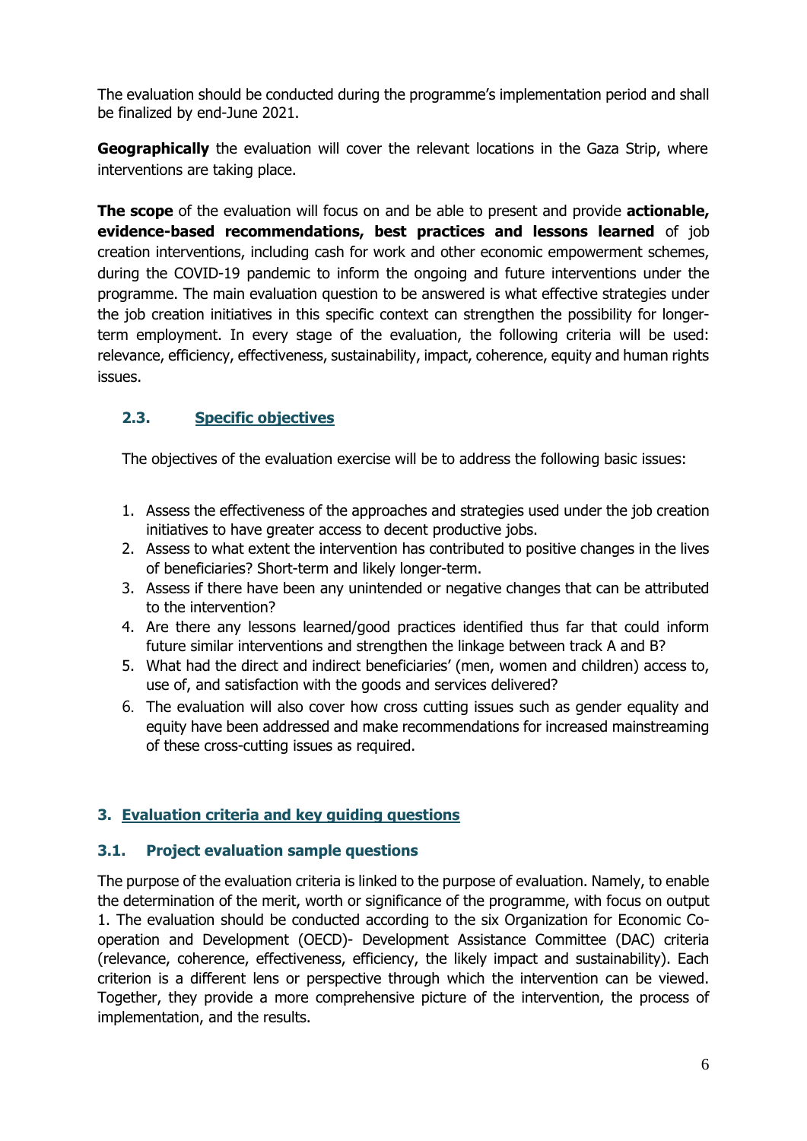The evaluation should be conducted during the programme's implementation period and shall be finalized by end-June 2021.

**Geographically** the evaluation will cover the relevant locations in the Gaza Strip, where interventions are taking place.

**The scope** of the evaluation will focus on and be able to present and provide **actionable, evidence-based recommendations, best practices and lessons learned** of job creation interventions, including cash for work and other economic empowerment schemes, during the COVID-19 pandemic to inform the ongoing and future interventions under the programme. The main evaluation question to be answered is what effective strategies under the job creation initiatives in this specific context can strengthen the possibility for longerterm employment. In every stage of the evaluation, the following criteria will be used: relevance, efficiency, effectiveness, sustainability, impact, coherence, equity and human rights issues.

### **2.3. Specific objectives**

The objectives of the evaluation exercise will be to address the following basic issues:

- 1. Assess the effectiveness of the approaches and strategies used under the job creation initiatives to have greater access to decent productive jobs.
- 2. Assess to what extent the intervention has contributed to positive changes in the lives of beneficiaries? Short-term and likely longer-term.
- 3. Assess if there have been any unintended or negative changes that can be attributed to the intervention?
- 4. Are there any lessons learned/good practices identified thus far that could inform future similar interventions and strengthen the linkage between track A and B?
- 5. What had the direct and indirect beneficiaries' (men, women and children) access to, use of, and satisfaction with the goods and services delivered?
- 6. The evaluation will also cover how cross cutting issues such as gender equality and equity have been addressed and make recommendations for increased mainstreaming of these cross-cutting issues as required.

### **3. Evaluation criteria and key guiding questions**

#### **3.1. Project evaluation sample questions**

The purpose of the evaluation criteria is linked to the purpose of evaluation. Namely, to enable the determination of the merit, worth or significance of the programme, with focus on output 1. The evaluation should be conducted according to the six Organization for Economic Cooperation and Development (OECD)- Development Assistance Committee (DAC) criteria (relevance, coherence, effectiveness, efficiency, the likely impact and sustainability). Each criterion is a different lens or perspective through which the intervention can be viewed. Together, they provide a more comprehensive picture of the intervention, the process of implementation, and the results.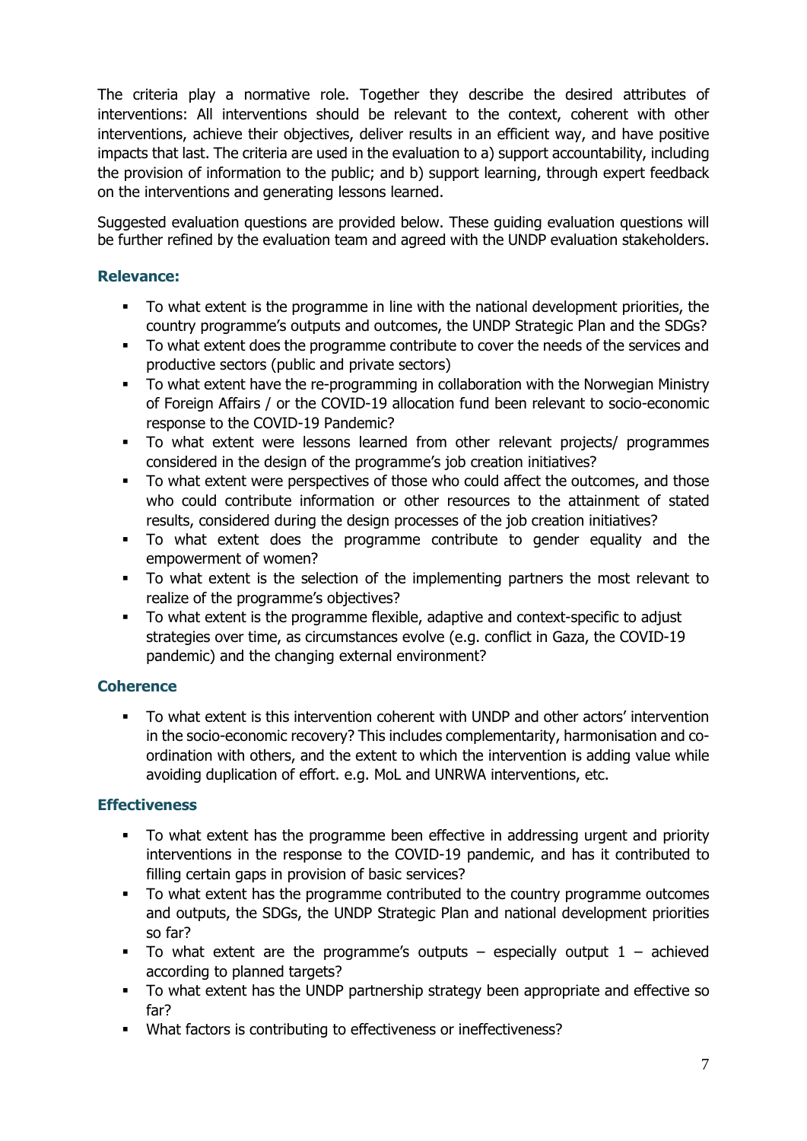The criteria play a normative role. Together they describe the desired attributes of interventions: All interventions should be relevant to the context, coherent with other interventions, achieve their objectives, deliver results in an efficient way, and have positive impacts that last. The criteria are used in the evaluation to a) support accountability, including the provision of information to the public; and b) support learning, through expert feedback on the interventions and generating lessons learned.

Suggested evaluation questions are provided below. These guiding evaluation questions will be further refined by the evaluation team and agreed with the UNDP evaluation stakeholders.

### **Relevance:**

- To what extent is the programme in line with the national development priorities, the country programme's outputs and outcomes, the UNDP Strategic Plan and the SDGs?
- To what extent does the programme contribute to cover the needs of the services and productive sectors (public and private sectors)
- To what extent have the re-programming in collaboration with the Norwegian Ministry of Foreign Affairs / or the COVID-19 allocation fund been relevant to socio-economic response to the COVID-19 Pandemic?
- To what extent were lessons learned from other relevant projects/ programmes considered in the design of the programme's job creation initiatives?
- To what extent were perspectives of those who could affect the outcomes, and those who could contribute information or other resources to the attainment of stated results, considered during the design processes of the job creation initiatives?
- To what extent does the programme contribute to gender equality and the empowerment of women?
- To what extent is the selection of the implementing partners the most relevant to realize of the programme's objectives?
- To what extent is the programme flexible, adaptive and context-specific to adjust strategies over time, as circumstances evolve (e.g. conflict in Gaza, the COVID-19 pandemic) and the changing external environment?

#### **Coherence**

To what extent is this intervention coherent with UNDP and other actors' intervention in the socio-economic recovery? This includes complementarity, harmonisation and coordination with others, and the extent to which the intervention is adding value while avoiding duplication of effort. e.g. MoL and UNRWA interventions, etc.

#### **Effectiveness**

- To what extent has the programme been effective in addressing urgent and priority interventions in the response to the COVID-19 pandemic, and has it contributed to filling certain gaps in provision of basic services?
- To what extent has the programme contributed to the country programme outcomes and outputs, the SDGs, the UNDP Strategic Plan and national development priorities so far?
- **•** To what extent are the programme's outputs especially output  $1 -$  achieved according to planned targets?
- To what extent has the UNDP partnership strategy been appropriate and effective so far?
- What factors is contributing to effectiveness or ineffectiveness?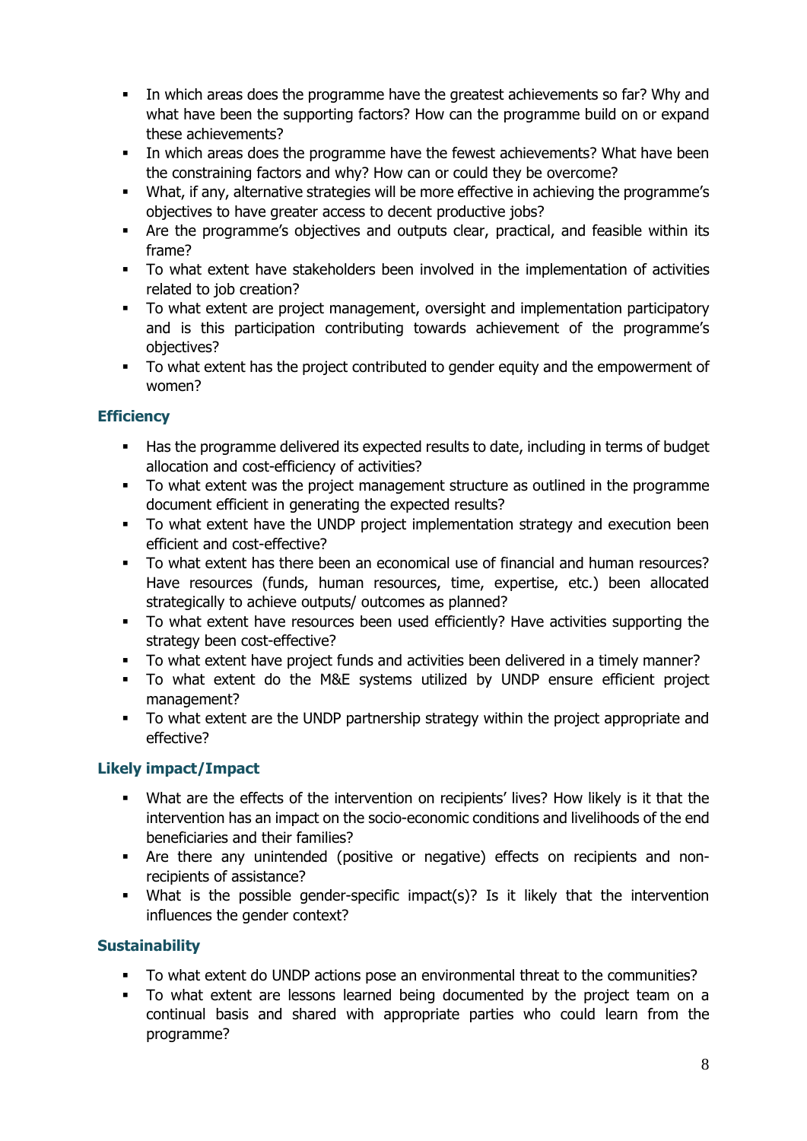- **•** In which areas does the programme have the greatest achievements so far? Why and what have been the supporting factors? How can the programme build on or expand these achievements?
- **•** In which areas does the programme have the fewest achievements? What have been the constraining factors and why? How can or could they be overcome?
- What, if any, alternative strategies will be more effective in achieving the programme's objectives to have greater access to decent productive jobs?
- Are the programme's objectives and outputs clear, practical, and feasible within its frame?
- To what extent have stakeholders been involved in the implementation of activities related to job creation?
- To what extent are project management, oversight and implementation participatory and is this participation contributing towards achievement of the programme's objectives?
- To what extent has the project contributed to gender equity and the empowerment of women?

### **Efficiency**

- Has the programme delivered its expected results to date, including in terms of budget allocation and cost-efficiency of activities?
- To what extent was the project management structure as outlined in the programme document efficient in generating the expected results?
- To what extent have the UNDP project implementation strategy and execution been efficient and cost-effective?
- To what extent has there been an economical use of financial and human resources? Have resources (funds, human resources, time, expertise, etc.) been allocated strategically to achieve outputs/ outcomes as planned?
- To what extent have resources been used efficiently? Have activities supporting the strategy been cost-effective?
- To what extent have project funds and activities been delivered in a timely manner?
- To what extent do the M&E systems utilized by UNDP ensure efficient project management?
- To what extent are the UNDP partnership strategy within the project appropriate and effective?

### **Likely impact/Impact**

- What are the effects of the intervention on recipients' lives? How likely is it that the intervention has an impact on the socio-economic conditions and livelihoods of the end beneficiaries and their families?
- Are there any unintended (positive or negative) effects on recipients and nonrecipients of assistance?
- What is the possible gender-specific impact(s)? Is it likely that the intervention influences the gender context?

### **Sustainability**

- To what extent do UNDP actions pose an environmental threat to the communities?
- To what extent are lessons learned being documented by the project team on a continual basis and shared with appropriate parties who could learn from the programme?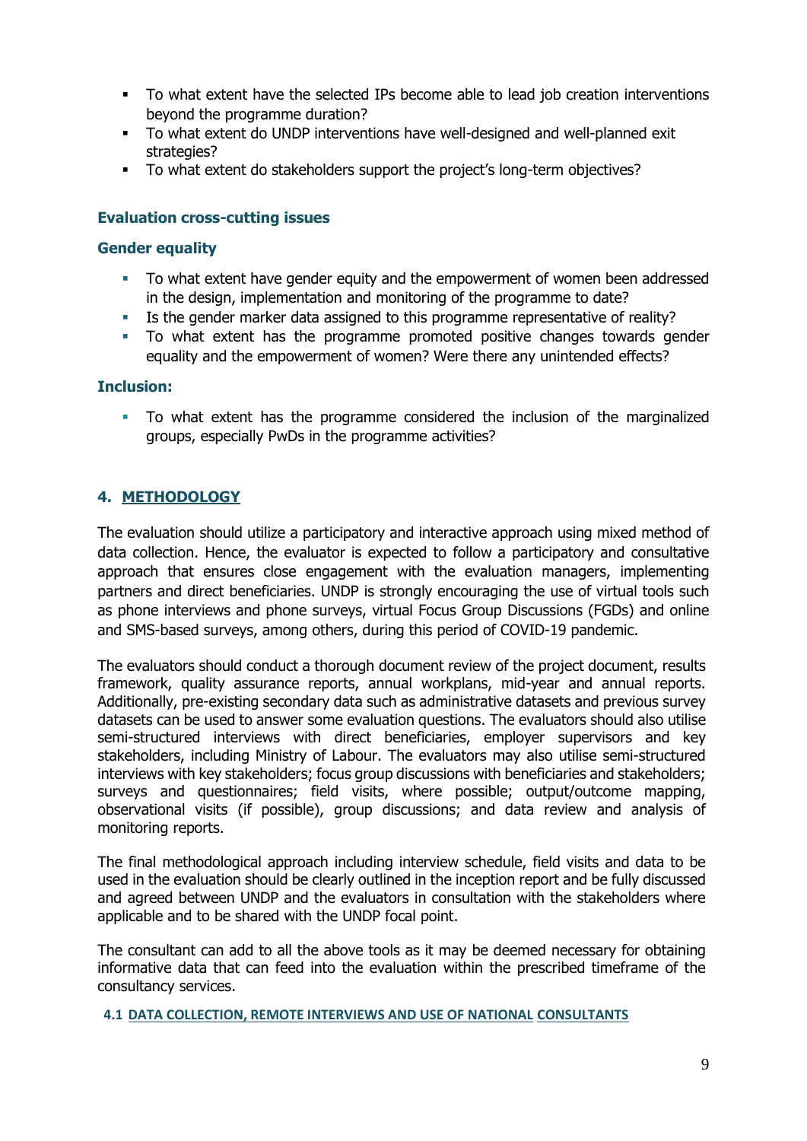- To what extent have the selected IPs become able to lead job creation interventions beyond the programme duration?
- To what extent do UNDP interventions have well-designed and well-planned exit strategies?
- To what extent do stakeholders support the project's long-term objectives?

#### **Evaluation cross-cutting issues**

#### **Gender equality**

- To what extent have gender equity and the empowerment of women been addressed in the design, implementation and monitoring of the programme to date?
- Is the gender marker data assigned to this programme representative of reality?
- To what extent has the programme promoted positive changes towards gender equality and the empowerment of women? Were there any unintended effects?

#### **Inclusion:**

▪ To what extent has the programme considered the inclusion of the marginalized groups, especially PwDs in the programme activities?

### **4. METHODOLOGY**

The evaluation should utilize a participatory and interactive approach using mixed method of data collection. Hence, the evaluator is expected to follow a participatory and consultative approach that ensures close engagement with the evaluation managers, implementing partners and direct beneficiaries. UNDP is strongly encouraging the use of virtual tools such as phone interviews and phone surveys, virtual Focus Group Discussions (FGDs) and online and SMS-based surveys, among others, during this period of COVID-19 pandemic.

The evaluators should conduct a thorough document review of the project document, results framework, quality assurance reports, annual workplans, mid-year and annual reports. Additionally, pre-existing secondary data such as administrative datasets and previous survey datasets can be used to answer some evaluation questions. The evaluators should also utilise semi-structured interviews with direct beneficiaries, employer supervisors and key stakeholders, including Ministry of Labour. The evaluators may also utilise semi-structured interviews with key stakeholders; focus group discussions with beneficiaries and stakeholders; surveys and questionnaires; field visits, where possible; output/outcome mapping, observational visits (if possible), group discussions; and data review and analysis of monitoring reports.

The final methodological approach including interview schedule, field visits and data to be used in the evaluation should be clearly outlined in the inception report and be fully discussed and agreed between UNDP and the evaluators in consultation with the stakeholders where applicable and to be shared with the UNDP focal point.

The consultant can add to all the above tools as it may be deemed necessary for obtaining informative data that can feed into the evaluation within the prescribed timeframe of the consultancy services.

**4.1 DATA COLLECTION, REMOTE INTERVIEWS AND USE OF NATIONAL CONSULTANTS**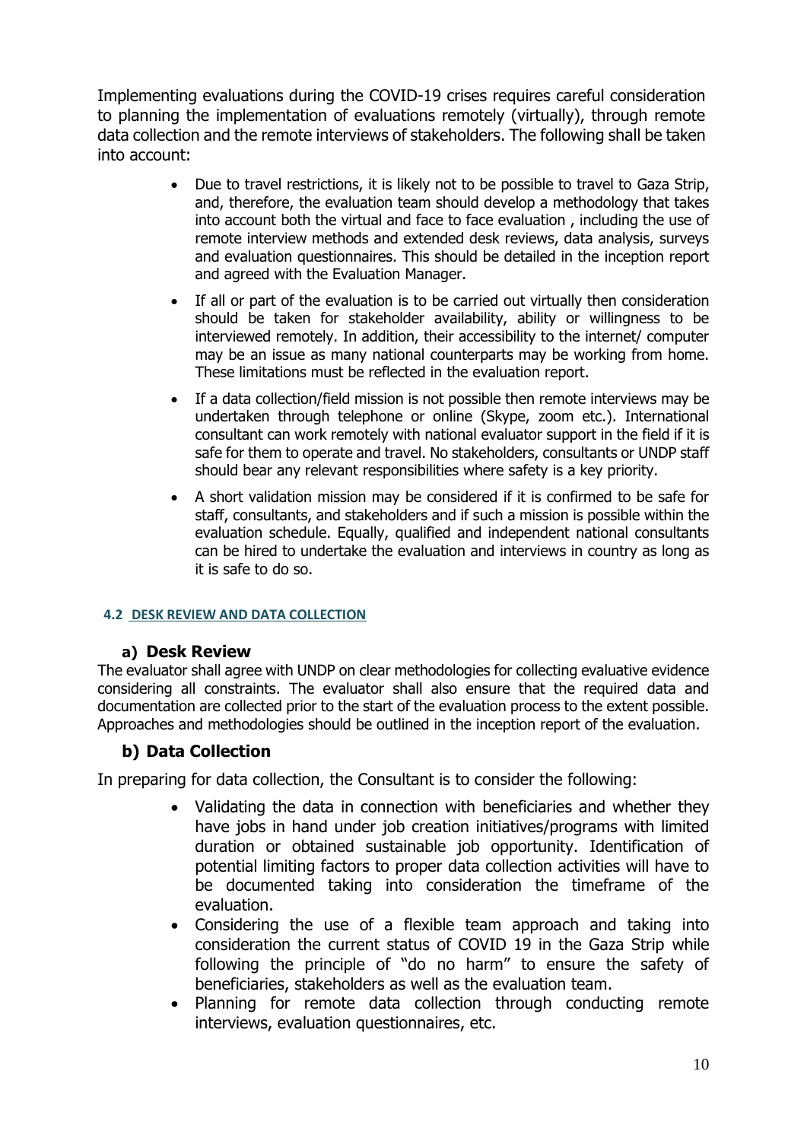Implementing evaluations during the COVID-19 crises requires careful consideration to planning the implementation of evaluations remotely (virtually), through remote data collection and the remote interviews of stakeholders. The following shall be taken into account:

- Due to travel restrictions, it is likely not to be possible to travel to Gaza Strip, and, therefore, the evaluation team should develop a methodology that takes into account both the virtual and face to face evaluation , including the use of remote interview methods and extended desk reviews, data analysis, surveys and evaluation questionnaires. This should be detailed in the inception report and agreed with the Evaluation Manager.
- If all or part of the evaluation is to be carried out virtually then consideration should be taken for stakeholder availability, ability or willingness to be interviewed remotely. In addition, their accessibility to the internet/ computer may be an issue as many national counterparts may be working from home. These limitations must be reflected in the evaluation report.
- If a data collection/field mission is not possible then remote interviews may be undertaken through telephone or online (Skype, zoom etc.). International consultant can work remotely with national evaluator support in the field if it is safe for them to operate and travel. No stakeholders, consultants or UNDP staff should bear any relevant responsibilities where safety is a key priority.
- A short validation mission may be considered if it is confirmed to be safe for staff, consultants, and stakeholders and if such a mission is possible within the evaluation schedule. Equally, qualified and independent national consultants can be hired to undertake the evaluation and interviews in country as long as it is safe to do so.

### **4.2 DESK REVIEW AND DATA COLLECTION**

### **a) Desk Review**

The evaluator shall agree with UNDP on clear methodologies for collecting evaluative evidence considering all constraints. The evaluator shall also ensure that the required data and documentation are collected prior to the start of the evaluation process to the extent possible. Approaches and methodologies should be outlined in the inception report of the evaluation.

# **b) Data Collection**

In preparing for data collection, the Consultant is to consider the following:

- Validating the data in connection with beneficiaries and whether they have jobs in hand under job creation initiatives/programs with limited duration or obtained sustainable job opportunity. Identification of potential limiting factors to proper data collection activities will have to be documented taking into consideration the timeframe of the evaluation.
- Considering the use of a flexible team approach and taking into consideration the current status of COVID 19 in the Gaza Strip while following the principle of "do no harm" to ensure the safety of beneficiaries, stakeholders as well as the evaluation team.
- Planning for remote data collection through conducting remote interviews, evaluation questionnaires, etc.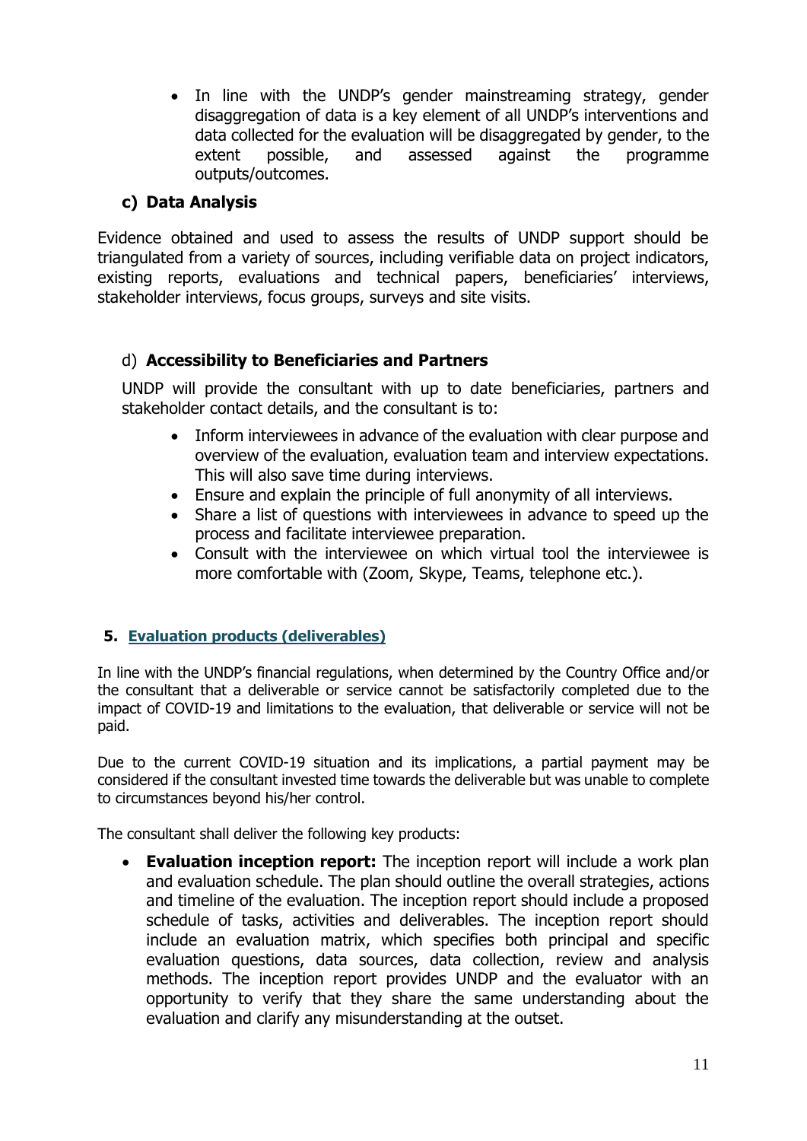• In line with the UNDP's gender mainstreaming strategy, gender disaggregation of data is a key element of all UNDP's interventions and data collected for the evaluation will be disaggregated by gender, to the extent possible, and assessed against the programme outputs/outcomes.

# **c) Data Analysis**

Evidence obtained and used to assess the results of UNDP support should be triangulated from a variety of sources, including verifiable data on project indicators, existing reports, evaluations and technical papers, beneficiaries' interviews, stakeholder interviews, focus groups, surveys and site visits.

# d) **Accessibility to Beneficiaries and Partners**

UNDP will provide the consultant with up to date beneficiaries, partners and stakeholder contact details, and the consultant is to:

- Inform interviewees in advance of the evaluation with clear purpose and overview of the evaluation, evaluation team and interview expectations. This will also save time during interviews.
- Ensure and explain the principle of full anonymity of all interviews.
- Share a list of questions with interviewees in advance to speed up the process and facilitate interviewee preparation.
- Consult with the interviewee on which virtual tool the interviewee is more comfortable with (Zoom, Skype, Teams, telephone etc.).

### **5. Evaluation products (deliverables)**

In line with the UNDP's financial regulations, when determined by the Country Office and/or the consultant that a deliverable or service cannot be satisfactorily completed due to the impact of COVID-19 and limitations to the evaluation, that deliverable or service will not be paid.

Due to the current COVID-19 situation and its implications, a partial payment may be considered if the consultant invested time towards the deliverable but was unable to complete to circumstances beyond his/her control.

The consultant shall deliver the following key products:

**Evaluation inception report:** The inception report will include a work plan and evaluation schedule. The plan should outline the overall strategies, actions and timeline of the evaluation. The inception report should include a proposed schedule of tasks, activities and deliverables. The inception report should include an evaluation matrix, which specifies both principal and specific evaluation questions, data sources, data collection, review and analysis methods. The inception report provides UNDP and the evaluator with an opportunity to verify that they share the same understanding about the evaluation and clarify any misunderstanding at the outset.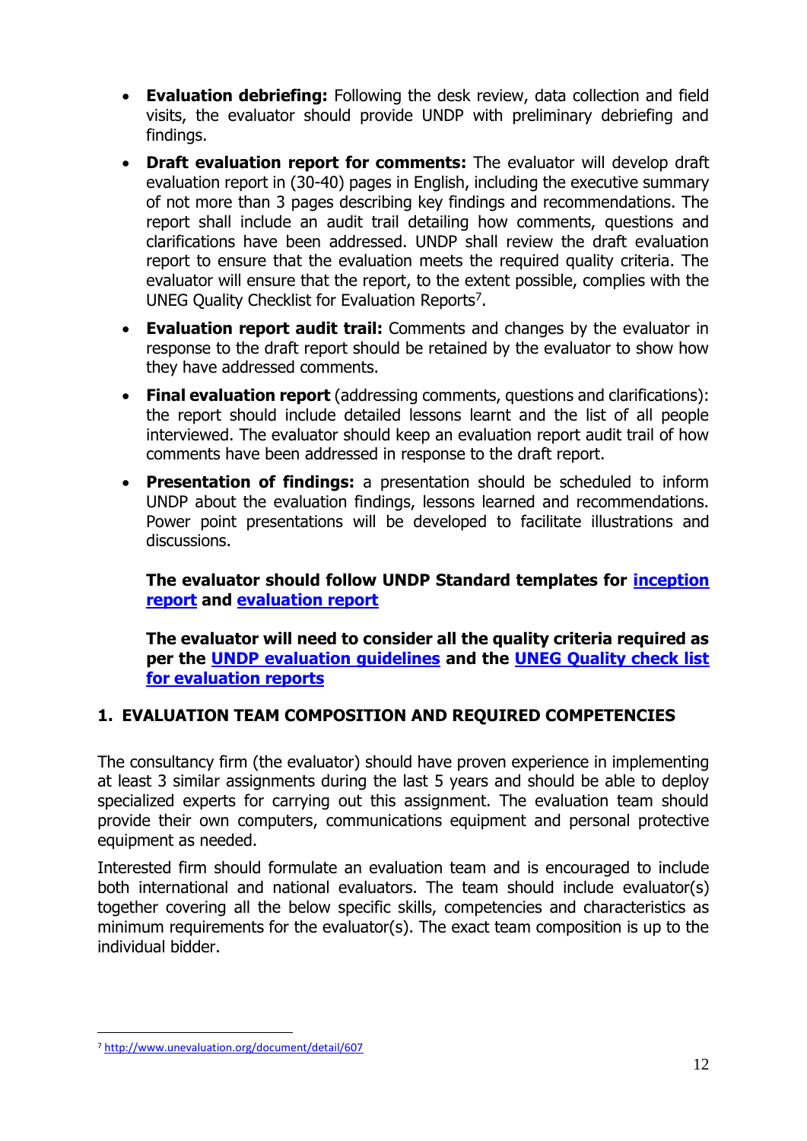- **Evaluation debriefing:** Following the desk review, data collection and field visits, the evaluator should provide UNDP with preliminary debriefing and findings.
- **Draft evaluation report for comments:** The evaluator will develop draft evaluation report in (30-40) pages in English, including the executive summary of not more than 3 pages describing key findings and recommendations. The report shall include an audit trail detailing how comments, questions and clarifications have been addressed. UNDP shall review the draft evaluation report to ensure that the evaluation meets the required quality criteria. The evaluator will ensure that the report, to the extent possible, complies with the UNEG Quality Checklist for Evaluation Reports<sup>7</sup>.
- **Evaluation report audit trail:** Comments and changes by the evaluator in response to the draft report should be retained by the evaluator to show how they have addressed comments.
- **Final evaluation report** (addressing comments, questions and clarifications): the report should include detailed lessons learnt and the list of all people interviewed. The evaluator should keep an evaluation report audit trail of how comments have been addressed in response to the draft report.
- **Presentation of findings:** a presentation should be scheduled to inform UNDP about the evaluation findings, lessons learned and recommendations. Power point presentations will be developed to facilitate illustrations and discussions.

**The evaluator should follow UNDP Standard templates for [inception](http://web.undp.org/evaluation/guideline/documents/Template/section-4/Sec%204%20Template%204%20Evaluation%20Inception%20report%20content%20outline.docx)  [report](http://web.undp.org/evaluation/guideline/documents/Template/section-4/Sec%204%20Template%204%20Evaluation%20Inception%20report%20content%20outline.docx) and [evaluation report](http://web.undp.org/evaluation/guideline/documents/Template/section-4/Sec%204%20Template%206%20Standard%20evaluation%20report%20content%20full%20details.docx)**

**The evaluator will need to consider all the quality criteria required as per the [UNDP evaluation guidelines](http://web.undp.org/evaluation/guideline/index.shtml) and the [UNEG Quality check list](http://www.unevaluation.org/document/detail/607)  [for evaluation reports](http://www.unevaluation.org/document/detail/607)**

# **1. EVALUATION TEAM COMPOSITION AND REQUIRED COMPETENCIES**

The consultancy firm (the evaluator) should have proven experience in implementing at least 3 similar assignments during the last 5 years and should be able to deploy specialized experts for carrying out this assignment. The evaluation team should provide their own computers, communications equipment and personal protective equipment as needed.

Interested firm should formulate an evaluation team and is encouraged to include both international and national evaluators. The team should include evaluator(s) together covering all the below specific skills, competencies and characteristics as minimum requirements for the evaluator(s). The exact team composition is up to the individual bidder.

<sup>7</sup> <http://www.unevaluation.org/document/detail/607>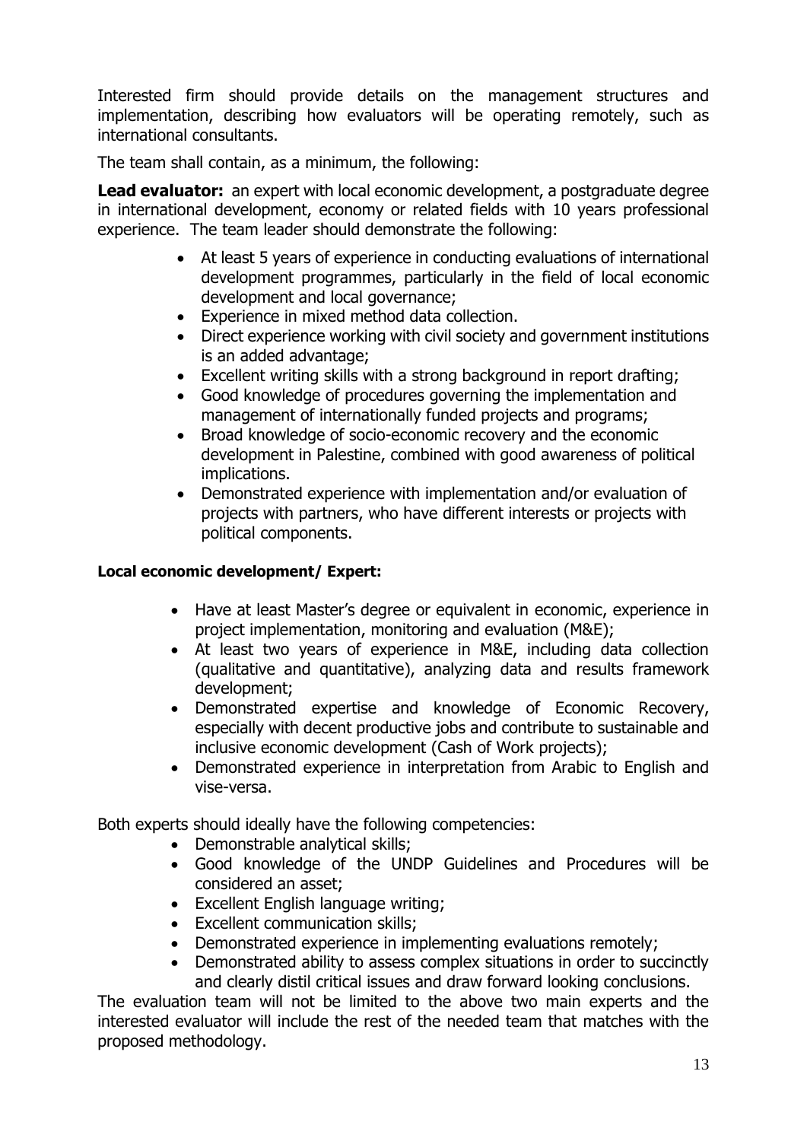Interested firm should provide details on the management structures and implementation, describing how evaluators will be operating remotely, such as international consultants.

The team shall contain, as a minimum, the following:

**Lead evaluator:** an expert with local economic development, a postgraduate degree in international development, economy or related fields with 10 years professional experience. The team leader should demonstrate the following:

- At least 5 years of experience in conducting evaluations of international development programmes, particularly in the field of local economic development and local governance;
- Experience in mixed method data collection.
- Direct experience working with civil society and government institutions is an added advantage;
- Excellent writing skills with a strong background in report drafting;
- Good knowledge of procedures governing the implementation and management of internationally funded projects and programs;
- Broad knowledge of socio-economic recovery and the economic development in Palestine, combined with good awareness of political implications.
- Demonstrated experience with implementation and/or evaluation of projects with partners, who have different interests or projects with political components.

### **Local economic development/ Expert:**

- Have at least Master's degree or equivalent in economic, experience in project implementation, monitoring and evaluation (M&E);
- At least two years of experience in M&E, including data collection (qualitative and quantitative), analyzing data and results framework development;
- Demonstrated expertise and knowledge of Economic Recovery, especially with decent productive jobs and contribute to sustainable and inclusive economic development (Cash of Work projects);
- Demonstrated experience in interpretation from Arabic to English and vise-versa.

Both experts should ideally have the following competencies:

- Demonstrable analytical skills;
- Good knowledge of the UNDP Guidelines and Procedures will be considered an asset;
- Excellent English language writing;
- Excellent communication skills;
- Demonstrated experience in implementing evaluations remotely;
- Demonstrated ability to assess complex situations in order to succinctly and clearly distil critical issues and draw forward looking conclusions.

The evaluation team will not be limited to the above two main experts and the interested evaluator will include the rest of the needed team that matches with the proposed methodology.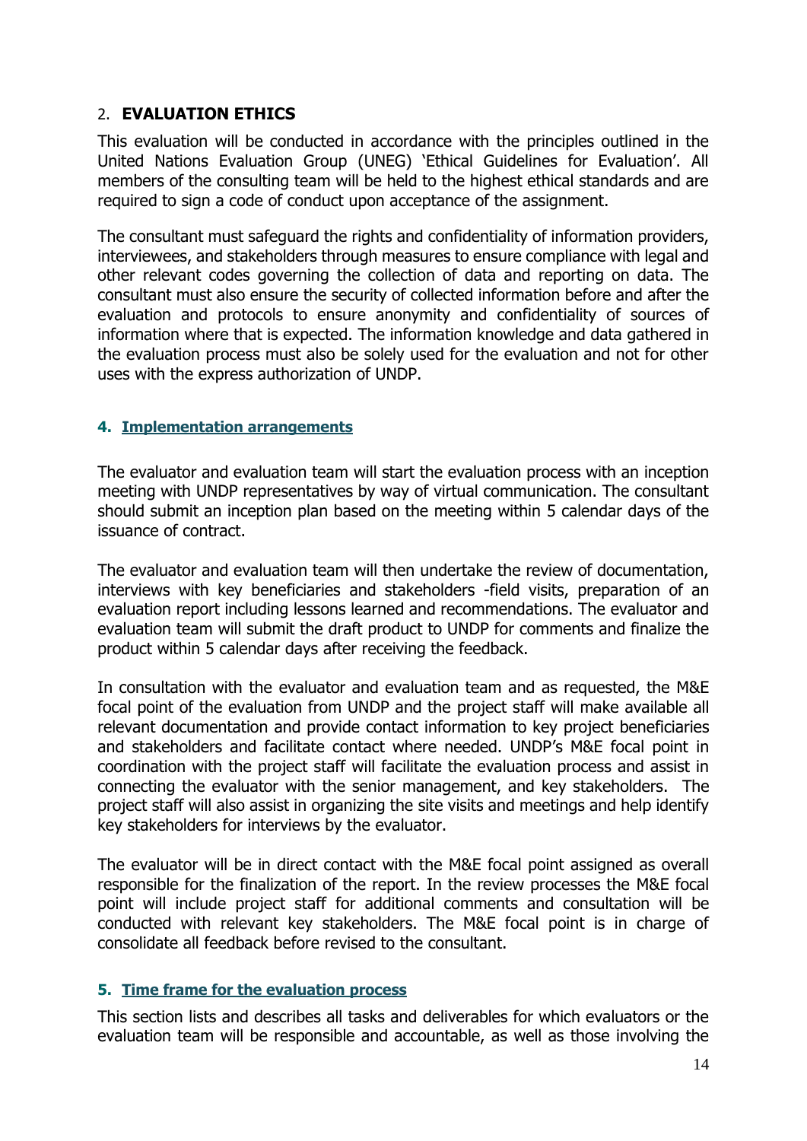### 2. **EVALUATION ETHICS**

This evaluation will be conducted in accordance with the principles outlined in the United Nations Evaluation Group (UNEG) 'Ethical Guidelines for Evaluation'. All members of the consulting team will be held to the highest ethical standards and are required to sign a code of conduct upon acceptance of the assignment.

The consultant must safeguard the rights and confidentiality of information providers, interviewees, and stakeholders through measures to ensure compliance with legal and other relevant codes governing the collection of data and reporting on data. The consultant must also ensure the security of collected information before and after the evaluation and protocols to ensure anonymity and confidentiality of sources of information where that is expected. The information knowledge and data gathered in the evaluation process must also be solely used for the evaluation and not for other uses with the express authorization of UNDP.

### **4. Implementation arrangements**

The evaluator and evaluation team will start the evaluation process with an inception meeting with UNDP representatives by way of virtual communication. The consultant should submit an inception plan based on the meeting within 5 calendar days of the issuance of contract.

The evaluator and evaluation team will then undertake the review of documentation, interviews with key beneficiaries and stakeholders -field visits, preparation of an evaluation report including lessons learned and recommendations. The evaluator and evaluation team will submit the draft product to UNDP for comments and finalize the product within 5 calendar days after receiving the feedback.

In consultation with the evaluator and evaluation team and as requested, the M&E focal point of the evaluation from UNDP and the project staff will make available all relevant documentation and provide contact information to key project beneficiaries and stakeholders and facilitate contact where needed. UNDP's M&E focal point in coordination with the project staff will facilitate the evaluation process and assist in connecting the evaluator with the senior management, and key stakeholders. The project staff will also assist in organizing the site visits and meetings and help identify key stakeholders for interviews by the evaluator.

The evaluator will be in direct contact with the M&E focal point assigned as overall responsible for the finalization of the report. In the review processes the M&E focal point will include project staff for additional comments and consultation will be conducted with relevant key stakeholders. The M&E focal point is in charge of consolidate all feedback before revised to the consultant.

### **5. Time frame for the evaluation process**

This section lists and describes all tasks and deliverables for which evaluators or the evaluation team will be responsible and accountable, as well as those involving the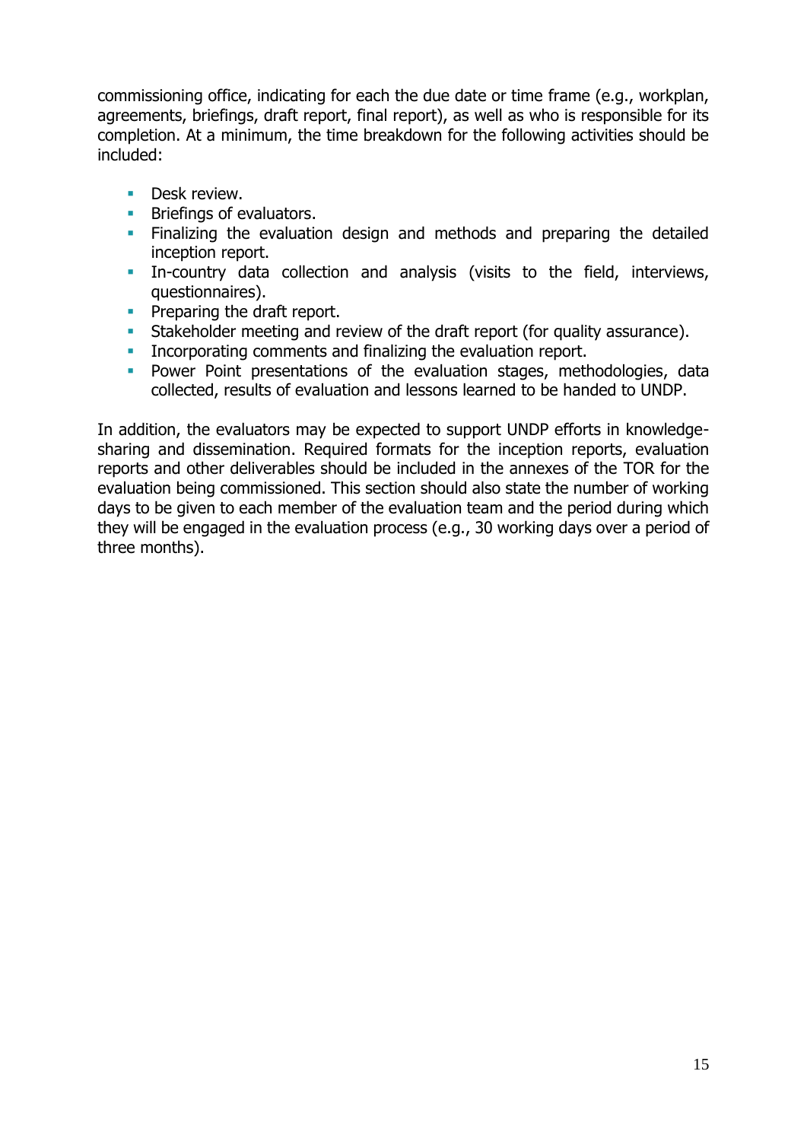commissioning office, indicating for each the due date or time frame (e.g., workplan, agreements, briefings, draft report, final report), as well as who is responsible for its completion. At a minimum, the time breakdown for the following activities should be included:

- **•** Desk review.
- **EXECUTE:** Briefings of evaluators.
- **EXTE:** Finalizing the evaluation design and methods and preparing the detailed inception report.
- **EXECT** In-country data collection and analysis (visits to the field, interviews, questionnaires).
- **•** Preparing the draft report.
- **EXECO Stakeholder meeting and review of the draft report (for quality assurance).**
- **•** Incorporating comments and finalizing the evaluation report.
- **•** Power Point presentations of the evaluation stages, methodologies, data collected, results of evaluation and lessons learned to be handed to UNDP.

In addition, the evaluators may be expected to support UNDP efforts in knowledgesharing and dissemination. Required formats for the inception reports, evaluation reports and other deliverables should be included in the annexes of the TOR for the evaluation being commissioned. This section should also state the number of working days to be given to each member of the evaluation team and the period during which they will be engaged in the evaluation process (e.g., 30 working days over a period of three months).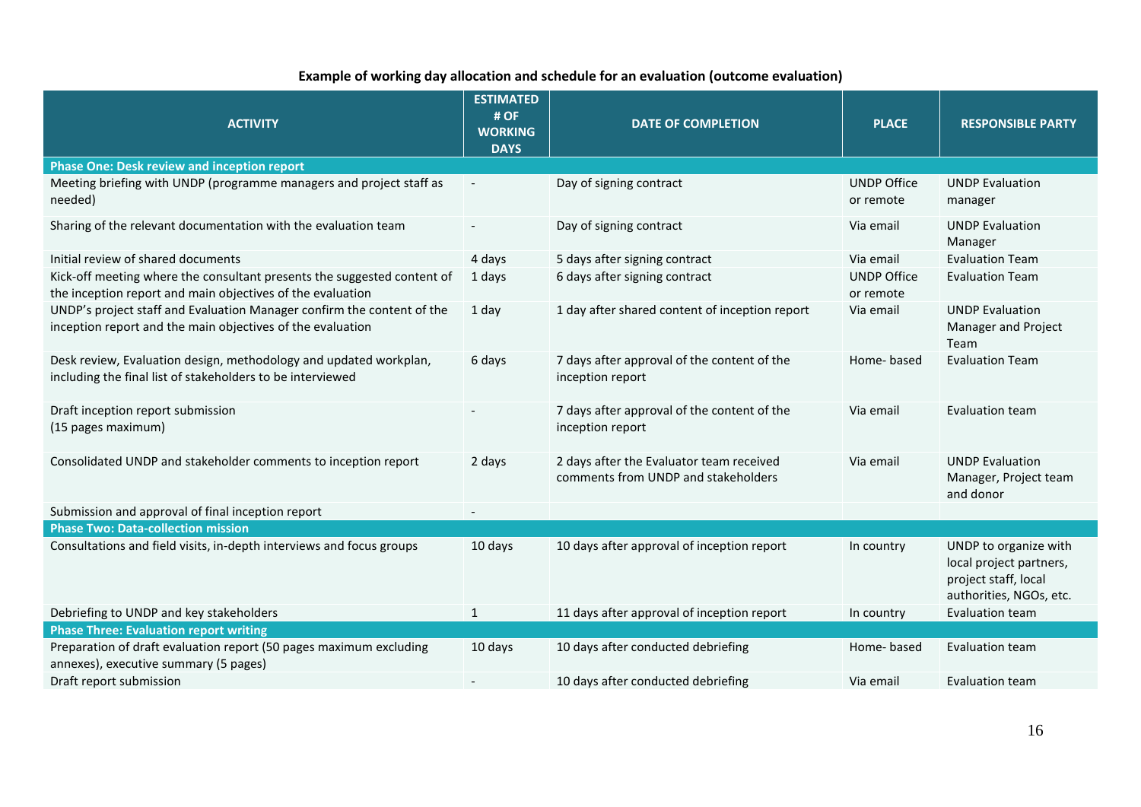### **Example of working day allocation and schedule for an evaluation (outcome evaluation)**

| <b>ACTIVITY</b>                                                                                                                       | <b>ESTIMATED</b><br># OF<br><b>WORKING</b><br><b>DAYS</b> | <b>DATE OF COMPLETION</b>                                                       | <b>PLACE</b>                    | <b>RESPONSIBLE PARTY</b>                                                                            |  |
|---------------------------------------------------------------------------------------------------------------------------------------|-----------------------------------------------------------|---------------------------------------------------------------------------------|---------------------------------|-----------------------------------------------------------------------------------------------------|--|
| <b>Phase One: Desk review and inception report</b>                                                                                    |                                                           |                                                                                 |                                 |                                                                                                     |  |
| Meeting briefing with UNDP (programme managers and project staff as<br>needed)                                                        |                                                           | Day of signing contract                                                         | <b>UNDP Office</b><br>or remote | <b>UNDP Evaluation</b><br>manager                                                                   |  |
| Sharing of the relevant documentation with the evaluation team                                                                        |                                                           | Day of signing contract                                                         | Via email                       | <b>UNDP Evaluation</b><br>Manager                                                                   |  |
| Initial review of shared documents                                                                                                    | 4 days                                                    | 5 days after signing contract                                                   | Via email                       | <b>Evaluation Team</b>                                                                              |  |
| Kick-off meeting where the consultant presents the suggested content of<br>the inception report and main objectives of the evaluation | 1 days                                                    | 6 days after signing contract                                                   | <b>UNDP Office</b><br>or remote | <b>Evaluation Team</b>                                                                              |  |
| UNDP's project staff and Evaluation Manager confirm the content of the<br>inception report and the main objectives of the evaluation  | 1 day                                                     | 1 day after shared content of inception report                                  | Via email                       | <b>UNDP Evaluation</b><br>Manager and Project<br>Team                                               |  |
| Desk review, Evaluation design, methodology and updated workplan,<br>including the final list of stakeholders to be interviewed       | 6 days                                                    | 7 days after approval of the content of the<br>inception report                 | Home-based                      | <b>Evaluation Team</b>                                                                              |  |
| Draft inception report submission<br>(15 pages maximum)                                                                               |                                                           | 7 days after approval of the content of the<br>inception report                 | Via email                       | Evaluation team                                                                                     |  |
| Consolidated UNDP and stakeholder comments to inception report                                                                        | 2 days                                                    | 2 days after the Evaluator team received<br>comments from UNDP and stakeholders | Via email                       | <b>UNDP Evaluation</b><br>Manager, Project team<br>and donor                                        |  |
| Submission and approval of final inception report                                                                                     |                                                           |                                                                                 |                                 |                                                                                                     |  |
| <b>Phase Two: Data-collection mission</b>                                                                                             |                                                           |                                                                                 |                                 |                                                                                                     |  |
| Consultations and field visits, in-depth interviews and focus groups                                                                  | 10 days                                                   | 10 days after approval of inception report                                      | In country                      | UNDP to organize with<br>local project partners,<br>project staff, local<br>authorities, NGOs, etc. |  |
| Debriefing to UNDP and key stakeholders                                                                                               | $\mathbf{1}$                                              | 11 days after approval of inception report                                      | In country                      | Evaluation team                                                                                     |  |
| <b>Phase Three: Evaluation report writing</b>                                                                                         |                                                           |                                                                                 |                                 |                                                                                                     |  |
| Preparation of draft evaluation report (50 pages maximum excluding<br>annexes), executive summary (5 pages)                           | 10 days                                                   | 10 days after conducted debriefing                                              | Home-based                      | Evaluation team                                                                                     |  |
| Draft report submission                                                                                                               |                                                           | 10 days after conducted debriefing                                              | Via email                       | <b>Evaluation team</b>                                                                              |  |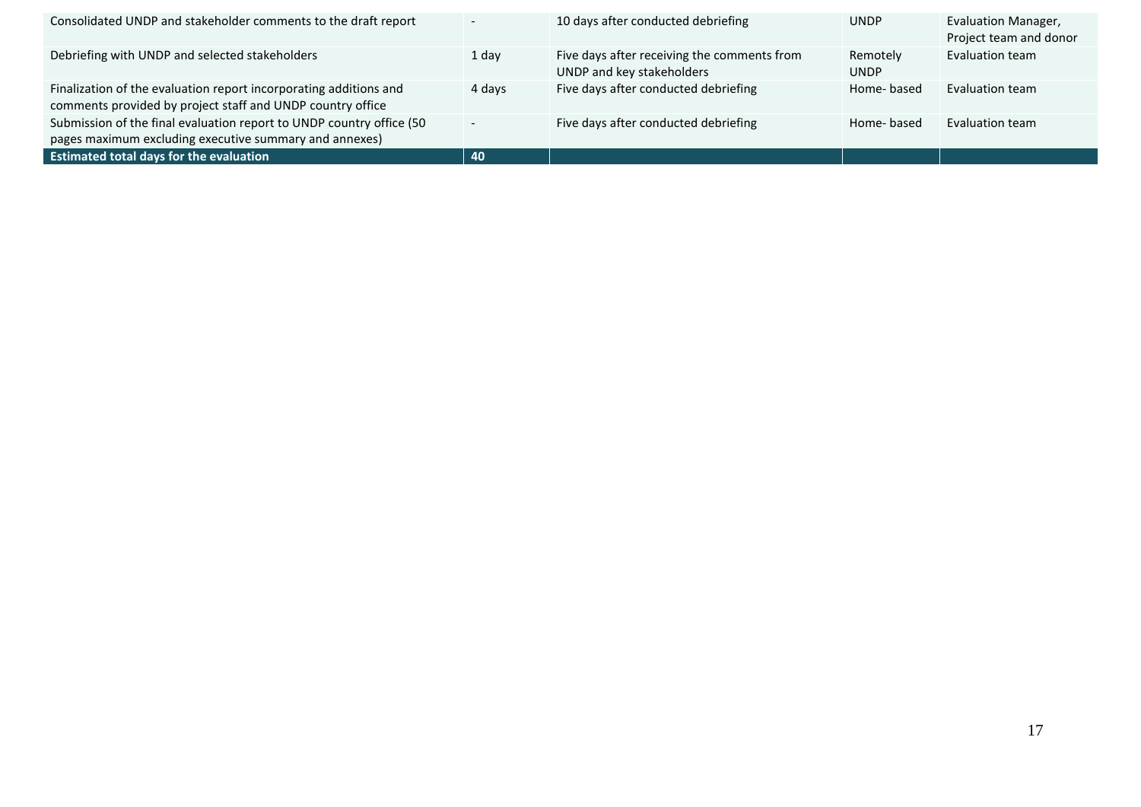| Consolidated UNDP and stakeholder comments to the draft report                                                                  | $\overline{\phantom{a}}$ | 10 days after conducted debriefing                                       | <b>UNDP</b>             | Evaluation Manager,<br>Project team and donor |
|---------------------------------------------------------------------------------------------------------------------------------|--------------------------|--------------------------------------------------------------------------|-------------------------|-----------------------------------------------|
| Debriefing with UNDP and selected stakeholders                                                                                  | 1 day                    | Five days after receiving the comments from<br>UNDP and key stakeholders | Remotely<br><b>UNDP</b> | Evaluation team                               |
| Finalization of the evaluation report incorporating additions and<br>comments provided by project staff and UNDP country office | 4 days                   | Five days after conducted debriefing                                     | Home-based              | Evaluation team                               |
| Submission of the final evaluation report to UNDP country office (50<br>pages maximum excluding executive summary and annexes)  | $\overline{\phantom{0}}$ | Five days after conducted debriefing                                     | Home-based              | Evaluation team                               |
| <b>Estimated total days for the evaluation</b>                                                                                  | 40                       |                                                                          |                         |                                               |